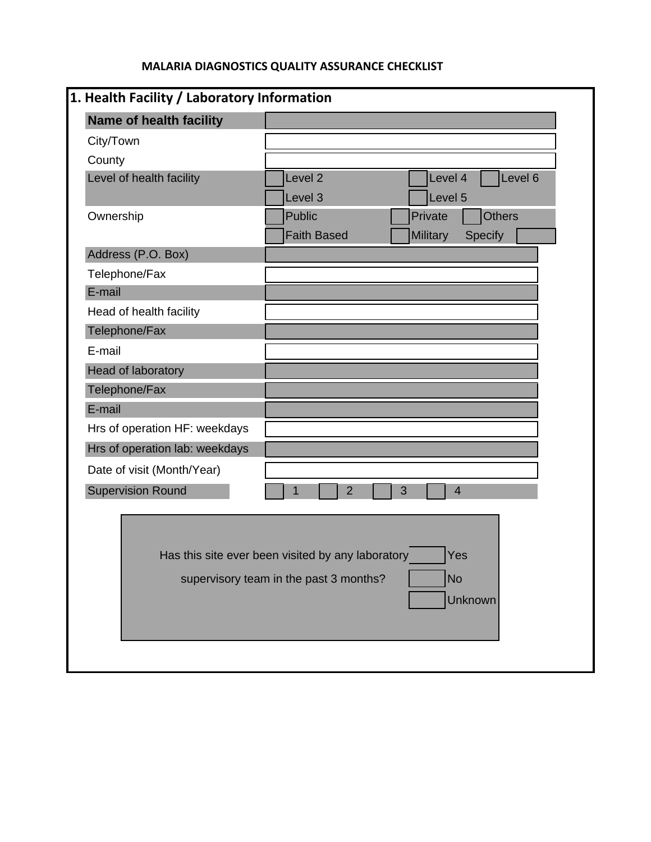## **MALARIA DIAGNOSTICS QUALITY ASSURANCE CHECKLIST**

| 1. Health Facility / Laboratory Information |                                                                                                                            |
|---------------------------------------------|----------------------------------------------------------------------------------------------------------------------------|
| Name of health facility                     |                                                                                                                            |
| City/Town                                   |                                                                                                                            |
| County                                      |                                                                                                                            |
| Level of health facility                    | Level <sub>2</sub><br>Level 4<br>Level 6<br>Level 3<br>Level 5                                                             |
| Ownership                                   | <b>Public</b><br>Private<br><b>Others</b><br><b>Faith Based</b><br>Military<br>Specify                                     |
| Address (P.O. Box)                          |                                                                                                                            |
| Telephone/Fax                               |                                                                                                                            |
| E-mail                                      |                                                                                                                            |
| Head of health facility                     |                                                                                                                            |
| Telephone/Fax                               |                                                                                                                            |
| E-mail                                      |                                                                                                                            |
| Head of laboratory                          |                                                                                                                            |
| Telephone/Fax                               |                                                                                                                            |
| E-mail                                      |                                                                                                                            |
| Hrs of operation HF: weekdays               |                                                                                                                            |
| Hrs of operation lab: weekdays              |                                                                                                                            |
| Date of visit (Month/Year)                  |                                                                                                                            |
| <b>Supervision Round</b>                    | 1<br>$\overline{2}$<br>3<br>$\overline{4}$                                                                                 |
|                                             | Has this site ever been visited by any laboratory<br>Yes<br><b>No</b><br>supervisory team in the past 3 months?<br>Unknown |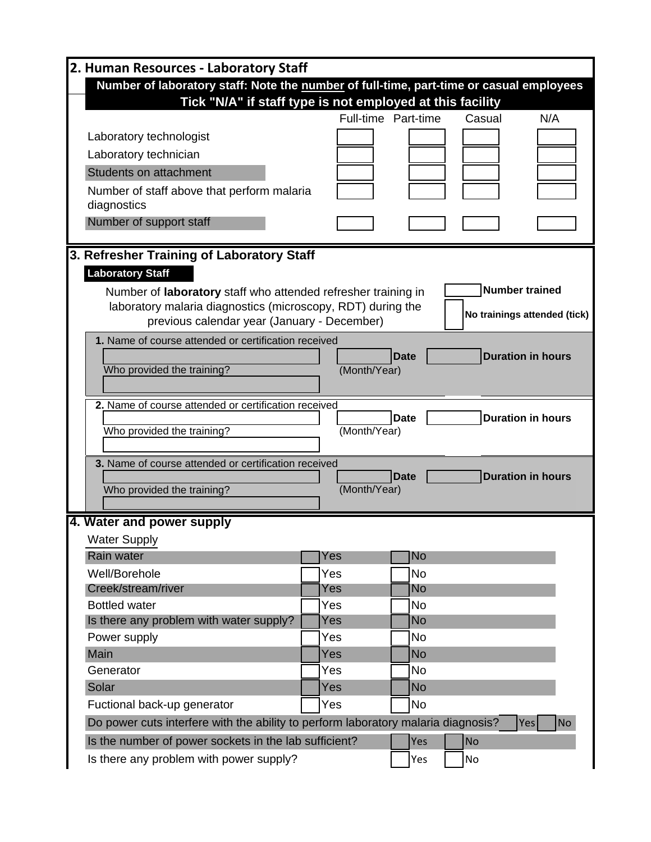| 2. Human Resources - Laboratory Staff                                             |                                                                                         |                     |                              |  |  |
|-----------------------------------------------------------------------------------|-----------------------------------------------------------------------------------------|---------------------|------------------------------|--|--|
|                                                                                   | Number of laboratory staff: Note the number of full-time, part-time or casual employees |                     |                              |  |  |
| Tick "N/A" if staff type is not employed at this facility                         |                                                                                         |                     |                              |  |  |
|                                                                                   |                                                                                         | Full-time Part-time | Casual<br>N/A                |  |  |
| Laboratory technologist                                                           |                                                                                         |                     |                              |  |  |
| Laboratory technician                                                             |                                                                                         |                     |                              |  |  |
| Students on attachment                                                            |                                                                                         |                     |                              |  |  |
| Number of staff above that perform malaria                                        |                                                                                         |                     |                              |  |  |
| diagnostics                                                                       |                                                                                         |                     |                              |  |  |
| Number of support staff                                                           |                                                                                         |                     |                              |  |  |
|                                                                                   |                                                                                         |                     |                              |  |  |
| 3. Refresher Training of Laboratory Staff                                         |                                                                                         |                     |                              |  |  |
| <b>Laboratory Staff</b>                                                           |                                                                                         |                     |                              |  |  |
| Number of laboratory staff who attended refresher training in                     |                                                                                         |                     | <b>Number trained</b>        |  |  |
| laboratory malaria diagnostics (microscopy, RDT) during the                       |                                                                                         |                     |                              |  |  |
| previous calendar year (January - December)                                       |                                                                                         |                     | No trainings attended (tick) |  |  |
| 1. Name of course attended or certification received                              |                                                                                         |                     |                              |  |  |
|                                                                                   |                                                                                         | <b>Date</b>         | <b>Duration in hours</b>     |  |  |
| Who provided the training?                                                        | (Month/Year)                                                                            |                     |                              |  |  |
|                                                                                   |                                                                                         |                     |                              |  |  |
| 2. Name of course attended or certification received                              |                                                                                         |                     |                              |  |  |
| Who provided the training?                                                        | (Month/Year)                                                                            | <b>Date</b>         | <b>Duration in hours</b>     |  |  |
|                                                                                   |                                                                                         |                     |                              |  |  |
| 3. Name of course attended or certification received                              |                                                                                         |                     |                              |  |  |
|                                                                                   |                                                                                         | <b>Date</b>         | <b>Duration in hours</b>     |  |  |
| Who provided the training?                                                        | (Month/Year)                                                                            |                     |                              |  |  |
|                                                                                   |                                                                                         |                     |                              |  |  |
| 4. Water and power supply                                                         |                                                                                         |                     |                              |  |  |
| Water Supply                                                                      |                                                                                         |                     |                              |  |  |
| <b>Rain water</b>                                                                 | Yes                                                                                     | No                  |                              |  |  |
| Well/Borehole<br>Creek/stream/river                                               | Yes<br>Yes                                                                              | <b>No</b><br>No     |                              |  |  |
| <b>Bottled water</b>                                                              | Yes                                                                                     | <b>No</b>           |                              |  |  |
| Is there any problem with water supply?                                           | Yes                                                                                     | <b>No</b>           |                              |  |  |
| Power supply                                                                      | Yes                                                                                     | No                  |                              |  |  |
| Main                                                                              | Yes                                                                                     | <b>No</b>           |                              |  |  |
| Generator                                                                         | Yes                                                                                     | <b>No</b>           |                              |  |  |
| Solar                                                                             | Yes                                                                                     | <b>No</b>           |                              |  |  |
| Fuctional back-up generator                                                       | Yes                                                                                     | <b>No</b>           |                              |  |  |
| Do power cuts interfere with the ability to perform laboratory malaria diagnosis? |                                                                                         |                     | <b>No</b><br>Yes             |  |  |
|                                                                                   |                                                                                         |                     |                              |  |  |
| Is the number of power sockets in the lab sufficient?                             |                                                                                         | Yes                 | <b>No</b>                    |  |  |
| Is there any problem with power supply?                                           |                                                                                         | Yes                 | No                           |  |  |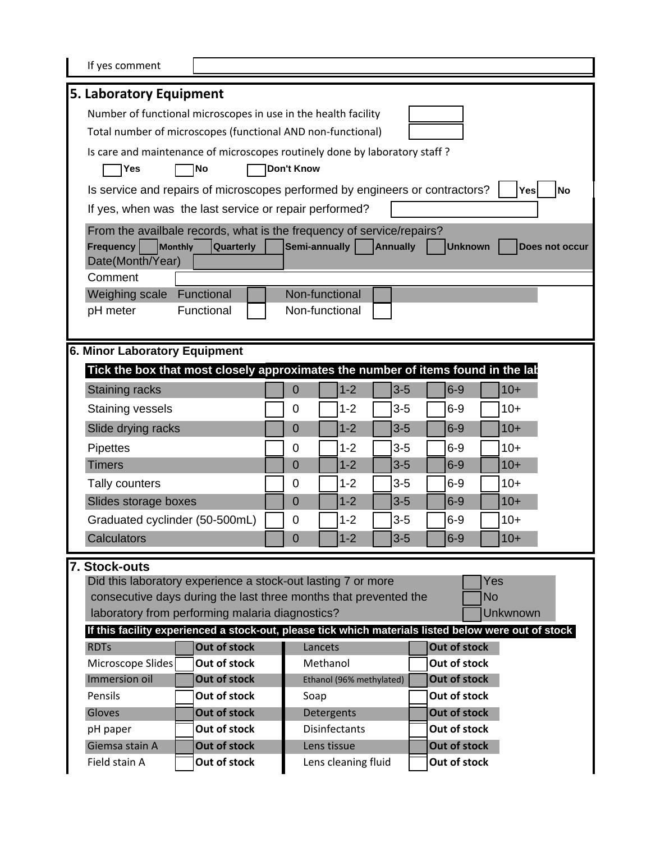| If yes comment                                                                                                                                                                            |                                                                |                             |                     |                          |  |       |                              |            |           |
|-------------------------------------------------------------------------------------------------------------------------------------------------------------------------------------------|----------------------------------------------------------------|-----------------------------|---------------------|--------------------------|--|-------|------------------------------|------------|-----------|
| 5. Laboratory Equipment                                                                                                                                                                   |                                                                |                             |                     |                          |  |       |                              |            |           |
|                                                                                                                                                                                           | Number of functional microscopes in use in the health facility |                             |                     |                          |  |       |                              |            |           |
|                                                                                                                                                                                           | Total number of microscopes (functional AND non-functional)    |                             |                     |                          |  |       |                              |            |           |
| Is care and maintenance of microscopes routinely done by laboratory staff?                                                                                                                |                                                                |                             |                     |                          |  |       |                              |            |           |
| Yes<br><b>No</b>                                                                                                                                                                          |                                                                | <b>Don't Know</b>           |                     |                          |  |       |                              |            |           |
| Is service and repairs of microscopes performed by engineers or contractors?                                                                                                              |                                                                |                             |                     |                          |  |       |                              | <b>Yes</b> | <b>No</b> |
| If yes, when was the last service or repair performed?                                                                                                                                    |                                                                |                             |                     |                          |  |       |                              |            |           |
| From the availbale records, what is the frequency of service/repairs?<br>Monthly<br><b>Frequency</b><br>Semi-annually<br><b>Quarterly</b><br>Annually<br><b>Unknown</b><br>Does not occur |                                                                |                             |                     |                          |  |       |                              |            |           |
| Date(Month/Year)<br>Comment                                                                                                                                                               |                                                                |                             |                     |                          |  |       |                              |            |           |
| Weighing scale<br>Functional                                                                                                                                                              |                                                                | Non-functional              |                     |                          |  |       |                              |            |           |
| Functional<br>pH meter                                                                                                                                                                    |                                                                | Non-functional              |                     |                          |  |       |                              |            |           |
|                                                                                                                                                                                           |                                                                |                             |                     |                          |  |       |                              |            |           |
| <b>6. Minor Laboratory Equipment</b>                                                                                                                                                      |                                                                |                             |                     |                          |  |       |                              |            |           |
| Tick the box that most closely approximates the number of items found in the lab                                                                                                          |                                                                |                             |                     |                          |  |       |                              |            |           |
| Staining racks                                                                                                                                                                            |                                                                | $\mathbf 0$                 |                     | $1 - 2$                  |  | $3-5$ | $6-9$                        | $10+$      |           |
| <b>Staining vessels</b>                                                                                                                                                                   |                                                                | $\mathbf 0$                 |                     | $1 - 2$                  |  | $3-5$ | $6-9$                        | $10+$      |           |
| Slide drying racks                                                                                                                                                                        |                                                                | $\overline{0}$              |                     | $1 - 2$                  |  | $3-5$ | $6 - 9$                      | $10+$      |           |
| <b>Pipettes</b>                                                                                                                                                                           |                                                                | 0                           |                     | $1 - 2$                  |  | $3-5$ | $6 - 9$                      | $10+$      |           |
| <b>Timers</b>                                                                                                                                                                             |                                                                | $\overline{0}$              |                     | $1 - 2$                  |  | $3-5$ | $6-9$                        | $10+$      |           |
| Tally counters                                                                                                                                                                            |                                                                | 0                           |                     | $1 - 2$                  |  | $3-5$ | $6-9$                        | $10+$      |           |
| Slides storage boxes                                                                                                                                                                      |                                                                | $\overline{0}$              |                     | $1 - 2$                  |  | $3-5$ | $6-9$                        | $10+$      |           |
| Graduated cyclinder (50-500mL)                                                                                                                                                            |                                                                | 0                           |                     | $1 - 2$                  |  | $3-5$ | $6-9$                        | $10+$      |           |
| Calculators                                                                                                                                                                               |                                                                | $\overline{0}$              |                     | $1 - 2$                  |  | $3-5$ | $6-9$                        | $10+$      |           |
| 7. Stock-outs                                                                                                                                                                             |                                                                |                             |                     |                          |  |       |                              |            |           |
| Did this laboratory experience a stock-out lasting 7 or more<br>Yes                                                                                                                       |                                                                |                             |                     |                          |  |       |                              |            |           |
| consecutive days during the last three months that prevented the<br><b>No</b>                                                                                                             |                                                                |                             |                     |                          |  |       |                              |            |           |
|                                                                                                                                                                                           | laboratory from performing malaria diagnostics?<br>Unkwnown    |                             |                     |                          |  |       |                              |            |           |
| If this facility experienced a stock-out, please tick which materials listed below were out of stock                                                                                      |                                                                |                             |                     |                          |  |       |                              |            |           |
| Out of stock<br><b>RDTs</b><br>Out of stock<br>Microscope Slides                                                                                                                          |                                                                |                             | Lancets<br>Methanol |                          |  |       | Out of stock<br>Out of stock |            |           |
| Immersion oil<br>Out of stock                                                                                                                                                             |                                                                |                             |                     | Ethanol (96% methylated) |  |       | Out of stock                 |            |           |
| Out of stock<br>Pensils                                                                                                                                                                   |                                                                | Soap                        |                     |                          |  |       | Out of stock                 |            |           |
| Out of stock<br>Gloves                                                                                                                                                                    |                                                                |                             |                     | Detergents               |  |       | Out of stock                 |            |           |
| Out of stock<br>pH paper                                                                                                                                                                  |                                                                |                             |                     | <b>Disinfectants</b>     |  |       | Out of stock                 |            |           |
| Out of stock<br>Giemsa stain A                                                                                                                                                            |                                                                | Out of stock<br>Lens tissue |                     |                          |  |       |                              |            |           |
| Out of stock<br>Field stain A                                                                                                                                                             |                                                                |                             |                     | Lens cleaning fluid      |  |       | Out of stock                 |            |           |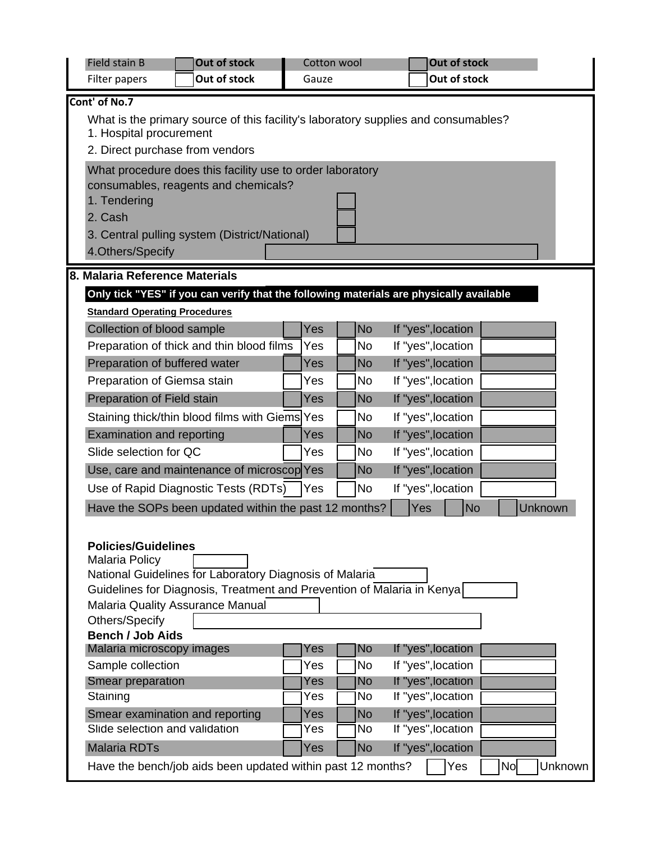| Field stain B                        | Out of stock                                                                            | Cotton wool |                        | Out of stock                             |                      |
|--------------------------------------|-----------------------------------------------------------------------------------------|-------------|------------------------|------------------------------------------|----------------------|
| Filter papers                        | Out of stock                                                                            | Gauze       |                        | Out of stock                             |                      |
| Cont' of No.7                        |                                                                                         |             |                        |                                          |                      |
|                                      | What is the primary source of this facility's laboratory supplies and consumables?      |             |                        |                                          |                      |
| 1. Hospital procurement              |                                                                                         |             |                        |                                          |                      |
| 2. Direct purchase from vendors      |                                                                                         |             |                        |                                          |                      |
|                                      | What procedure does this facility use to order laboratory                               |             |                        |                                          |                      |
|                                      | consumables, reagents and chemicals?                                                    |             |                        |                                          |                      |
| 1. Tendering<br>2. Cash              |                                                                                         |             |                        |                                          |                      |
|                                      | 3. Central pulling system (District/National)                                           |             |                        |                                          |                      |
| 4.Others/Specify                     |                                                                                         |             |                        |                                          |                      |
|                                      |                                                                                         |             |                        |                                          |                      |
| 8. Malaria Reference Materials       |                                                                                         |             |                        |                                          |                      |
|                                      | Only tick "YES" if you can verify that the following materials are physically available |             |                        |                                          |                      |
| <b>Standard Operating Procedures</b> |                                                                                         |             |                        |                                          |                      |
| Collection of blood sample           |                                                                                         | Yes         | <b>No</b>              | If "yes", location                       |                      |
| Preparation of buffered water        | Preparation of thick and thin blood films                                               | Yes<br>Yes  | <b>No</b><br><b>No</b> | If "yes", location<br>If "yes", location |                      |
|                                      |                                                                                         |             |                        |                                          |                      |
| Preparation of Giemsa stain          |                                                                                         | Yes         | No                     | If "yes", location                       |                      |
| Preparation of Field stain           |                                                                                         | Yes         | <b>No</b>              | If "yes", location                       |                      |
|                                      | Staining thick/thin blood films with Giems Yes                                          | Yes         | <b>No</b>              | If "yes", location                       |                      |
| <b>Examination and reporting</b>     |                                                                                         |             | <b>No</b>              | If "yes", location                       |                      |
| Slide selection for QC               |                                                                                         | Yes         | No                     | If "yes", location                       |                      |
|                                      | Use, care and maintenance of microscop Yes                                              |             | No                     | If "yes", location                       |                      |
|                                      | Use of Rapid Diagnostic Tests (RDTs)<br>If "yes", location<br><b>No</b><br>Yes          |             |                        |                                          |                      |
|                                      | Have the SOPs been updated within the past 12 months?                                   |             |                        | Yes<br><b>No</b>                         | Unknown              |
|                                      |                                                                                         |             |                        |                                          |                      |
| <b>Policies/Guidelines</b>           |                                                                                         |             |                        |                                          |                      |
| <b>Malaria Policy</b>                | National Guidelines for Laboratory Diagnosis of Malaria                                 |             |                        |                                          |                      |
|                                      | Guidelines for Diagnosis, Treatment and Prevention of Malaria in Kenya                  |             |                        |                                          |                      |
| Malaria Quality Assurance Manual     |                                                                                         |             |                        |                                          |                      |
| Others/Specify                       |                                                                                         |             |                        |                                          |                      |
| <b>Bench / Job Aids</b>              |                                                                                         |             |                        |                                          |                      |
| Malaria microscopy images            |                                                                                         | Yes         | <b>No</b>              | If "yes", location                       |                      |
| Sample collection                    |                                                                                         | Yes         | No                     | If "yes", location                       |                      |
| Smear preparation<br>Staining        |                                                                                         | Yes<br>Yes  | No<br><b>No</b>        | If "yes", location<br>If "yes", location |                      |
| Smear examination and reporting      |                                                                                         | Yes         | <b>No</b>              | If "yes", location                       |                      |
| Slide selection and validation       |                                                                                         | Yes         | No                     | If "yes", location                       |                      |
| <b>Malaria RDTs</b>                  |                                                                                         | Yes         | No                     | If "yes", location                       |                      |
|                                      | Have the bench/job aids been updated within past 12 months?                             |             |                        | Yes                                      | Unknown<br><b>No</b> |
|                                      |                                                                                         |             |                        |                                          |                      |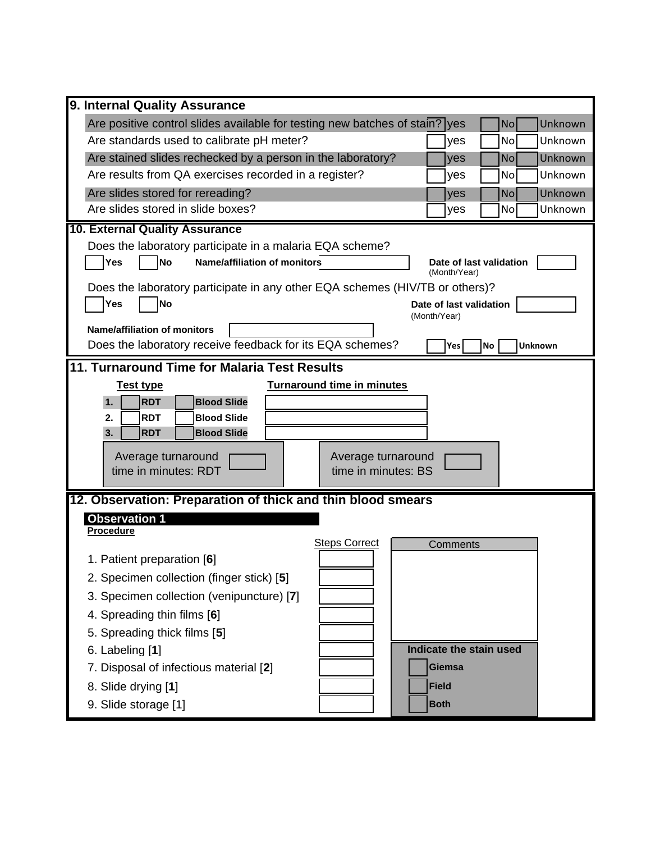| 9. Internal Quality Assurance                                                                            |  |  |  |  |  |
|----------------------------------------------------------------------------------------------------------|--|--|--|--|--|
| Are positive control slides available for testing new batches of stain? yes<br>Unknown<br>N <sub>o</sub> |  |  |  |  |  |
| Are standards used to calibrate pH meter?<br>Unknown<br><b>No</b><br>yes                                 |  |  |  |  |  |
| Are stained slides rechecked by a person in the laboratory?<br>Unknown<br><b>No</b><br>yes               |  |  |  |  |  |
| Are results from QA exercises recorded in a register?<br>Unknown<br><b>No</b><br>yes                     |  |  |  |  |  |
| Are slides stored for rereading?<br>Unknown<br><b>No</b><br>yes                                          |  |  |  |  |  |
| Are slides stored in slide boxes?<br>Unknown<br>No<br>yes                                                |  |  |  |  |  |
| 10. External Quality Assurance                                                                           |  |  |  |  |  |
| Does the laboratory participate in a malaria EQA scheme?                                                 |  |  |  |  |  |
| <b>No</b><br>Yes<br><b>Name/affiliation of monitors</b><br>Date of last validation<br>(Month/Year)       |  |  |  |  |  |
| Does the laboratory participate in any other EQA schemes (HIV/TB or others)?                             |  |  |  |  |  |
| <b>No</b><br>Yes<br>Date of last validation                                                              |  |  |  |  |  |
| (Month/Year)<br><b>Name/affiliation of monitors</b>                                                      |  |  |  |  |  |
| Does the laboratory receive feedback for its EQA schemes?<br><b>No</b><br><b>Unknown</b><br>Yes          |  |  |  |  |  |
| 11. Turnaround Time for Malaria Test Results                                                             |  |  |  |  |  |
| <b>Turnaround time in minutes</b><br><b>Test type</b>                                                    |  |  |  |  |  |
| <b>RDT</b><br><b>Blood Slide</b><br>1.                                                                   |  |  |  |  |  |
| <b>RDT</b><br><b>Blood Slide</b><br>2.                                                                   |  |  |  |  |  |
| <b>Blood Slide</b><br><b>RDT</b><br>3.                                                                   |  |  |  |  |  |
| Average turnaround<br>Average turnaround                                                                 |  |  |  |  |  |
| time in minutes: RDT<br>time in minutes: BS                                                              |  |  |  |  |  |
|                                                                                                          |  |  |  |  |  |
| 12. Observation: Preparation of thick and thin blood smears<br><b>Observation 1</b>                      |  |  |  |  |  |
| Procedure                                                                                                |  |  |  |  |  |
| <b>Steps Correct</b><br>Comments                                                                         |  |  |  |  |  |
|                                                                                                          |  |  |  |  |  |
| 1. Patient preparation [6]                                                                               |  |  |  |  |  |
| 2. Specimen collection (finger stick) [5]                                                                |  |  |  |  |  |
| 3. Specimen collection (venipuncture) [7]                                                                |  |  |  |  |  |
| 4. Spreading thin films [6]                                                                              |  |  |  |  |  |
| 5. Spreading thick films [5]                                                                             |  |  |  |  |  |
| Indicate the stain used<br>6. Labeling [1]                                                               |  |  |  |  |  |
| 7. Disposal of infectious material [2]<br><b>Giemsa</b>                                                  |  |  |  |  |  |
| 8. Slide drying [1]<br><b>Field</b>                                                                      |  |  |  |  |  |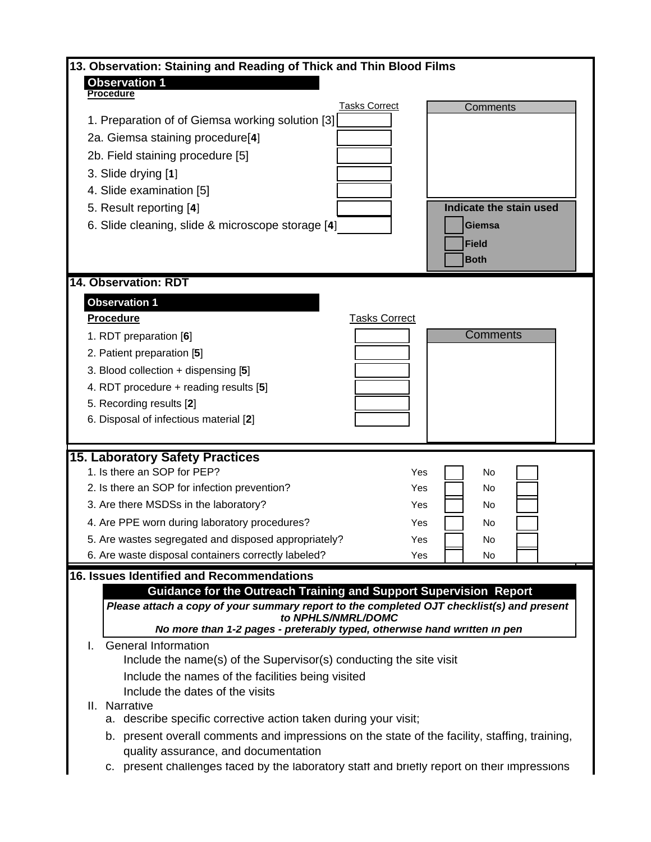| 13. Observation: Staining and Reading of Thick and Thin Blood Films                                                       |                         |
|---------------------------------------------------------------------------------------------------------------------------|-------------------------|
| <b>Observation 1</b>                                                                                                      |                         |
| <b>Procedure</b><br><b>Tasks Correct</b>                                                                                  | Comments                |
| 1. Preparation of of Giemsa working solution [3]                                                                          |                         |
| 2a. Giemsa staining procedure[4]                                                                                          |                         |
| 2b. Field staining procedure [5]                                                                                          |                         |
| 3. Slide drying [1]                                                                                                       |                         |
| 4. Slide examination [5]                                                                                                  |                         |
| 5. Result reporting [4]                                                                                                   | Indicate the stain used |
| 6. Slide cleaning, slide & microscope storage [4]                                                                         | <b>Giemsa</b>           |
|                                                                                                                           | <b>Field</b>            |
|                                                                                                                           | <b>Both</b>             |
|                                                                                                                           |                         |
| 14. Observation: RDT                                                                                                      |                         |
| <b>Observation 1</b>                                                                                                      |                         |
| <b>Tasks Correct</b><br><b>Procedure</b>                                                                                  |                         |
| 1. RDT preparation [6]                                                                                                    | <b>Comments</b>         |
| 2. Patient preparation [5]                                                                                                |                         |
| 3. Blood collection + dispensing [5]                                                                                      |                         |
| 4. RDT procedure + reading results [5]                                                                                    |                         |
| 5. Recording results [2]                                                                                                  |                         |
| 6. Disposal of infectious material [2]                                                                                    |                         |
|                                                                                                                           |                         |
| <b>15. Laboratory Safety Practices</b><br>1. Is there an SOP for PEP?                                                     |                         |
| Yes<br>2. Is there an SOP for infection prevention?<br>Yes                                                                | No<br>No                |
| 3. Are there MSDSs in the laboratory?<br>Yes                                                                              | No                      |
|                                                                                                                           |                         |
| 4. Are PPE worn during laboratory procedures?<br>Yes                                                                      | No                      |
| 5. Are wastes segregated and disposed appropriately?<br>Yes<br>6. Are waste disposal containers correctly labeled?<br>Yes | No<br>No                |
|                                                                                                                           |                         |
| 16. Issues Identified and Recommendations<br><b>Guidance for the Outreach Training and Support Supervision Report</b>     |                         |
| Please attach a copy of your summary report to the completed OJT checklist(s) and present                                 |                         |
| to NPHLS/NMRL/DOMC                                                                                                        |                         |
| No more than 1-2 pages - preferably typed, otherwise hand written in pen                                                  |                         |
| <b>General Information</b><br>I.<br>Include the name(s) of the Supervisor(s) conducting the site visit                    |                         |
|                                                                                                                           |                         |
| Include the names of the facilities being visited<br>Include the dates of the visits                                      |                         |
| II. Narrative                                                                                                             |                         |
| describe specific corrective action taken during your visit;<br>а.                                                        |                         |
| b. present overall comments and impressions on the state of the facility, staffing, training,                             |                         |
| quality assurance, and documentation                                                                                      |                         |
| c. present challenges faced by the laboratory staff and briefly report on their impressions                               |                         |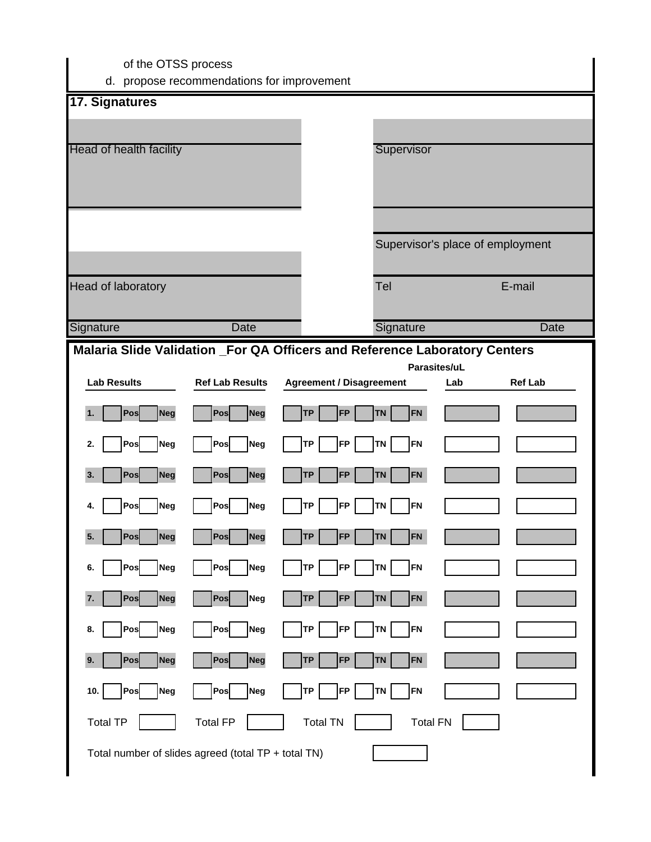| of the OTSS process                                                        | d. propose recommendations for improvement |                                 |                        |                 |                                  |
|----------------------------------------------------------------------------|--------------------------------------------|---------------------------------|------------------------|-----------------|----------------------------------|
| 17. Signatures                                                             |                                            |                                 |                        |                 |                                  |
| Head of health facility                                                    |                                            |                                 | Supervisor             |                 |                                  |
|                                                                            |                                            |                                 |                        |                 |                                  |
|                                                                            |                                            |                                 |                        |                 | Supervisor's place of employment |
| Head of laboratory                                                         |                                            |                                 | Tel                    |                 | E-mail                           |
| Signature                                                                  | Date                                       |                                 | Signature              |                 | <b>Date</b>                      |
| Malaria Slide Validation _For QA Officers and Reference Laboratory Centers |                                            |                                 |                        | Parasites/uL    |                                  |
| <b>Lab Results</b>                                                         | <b>Ref Lab Results</b>                     | <b>Agreement / Disagreement</b> |                        | Lab             | <b>Ref Lab</b>                   |
| Pos<br><b>Neg</b><br>1.                                                    | Neg<br>Pos                                 | <b>TP</b><br><b>FP</b>          | <b>TN</b><br><b>FN</b> |                 |                                  |
| Pos<br><b>Neg</b><br>2.                                                    | Pos<br>Neg                                 | TP<br><b>FP</b>                 | <b>TN</b><br>FN        |                 |                                  |
| 3.<br>Pos<br><b>Neg</b>                                                    | Pos<br><b>Neg</b>                          | <b>TP</b><br><b>FP</b>          | <b>TN</b><br><b>FN</b> |                 |                                  |
| Pos<br>Neg<br>4.                                                           | Pos<br><b>Neg</b>                          | <b>TP</b><br><b>FP</b>          | <b>TN</b><br>FN        |                 |                                  |
| Pos<br>5.<br><b>Neg</b>                                                    | Neg<br>Pos                                 | <b>TP</b><br><b>FP</b>          | FN<br><b>TN</b>        |                 |                                  |
| Pos<br>Neg<br>6.                                                           | Neg<br>Pos                                 | <b>TP</b><br><b>FP</b>          | TN  <br>FN             |                 |                                  |
| Pos<br><b>Neg</b><br>7.                                                    | Pos<br>Neg                                 | <b>TP</b><br><b>FP</b>          | FN<br><b>TN</b>        |                 |                                  |
| Pos<br>Neg<br>8.                                                           | Pos<br>Neg                                 | <b>TP</b><br><b>FP</b>          | FN<br>TN               |                 |                                  |
| Pos<br>9.<br><b>Neg</b>                                                    | Neg<br>Pos                                 | <b>TP</b><br><b>FP</b>          | FN<br><b>TN</b>        |                 |                                  |
| Pos<br>Neg<br>10.                                                          | Pos<br><b>Neg</b>                          | <b>TP</b><br><b>FP</b>          | <b>FN</b><br><b>TN</b> |                 |                                  |
| <b>Total TP</b>                                                            | <b>Total FP</b>                            | <b>Total TN</b>                 |                        | <b>Total FN</b> |                                  |

Total number of slides agreed (total TP + total TN)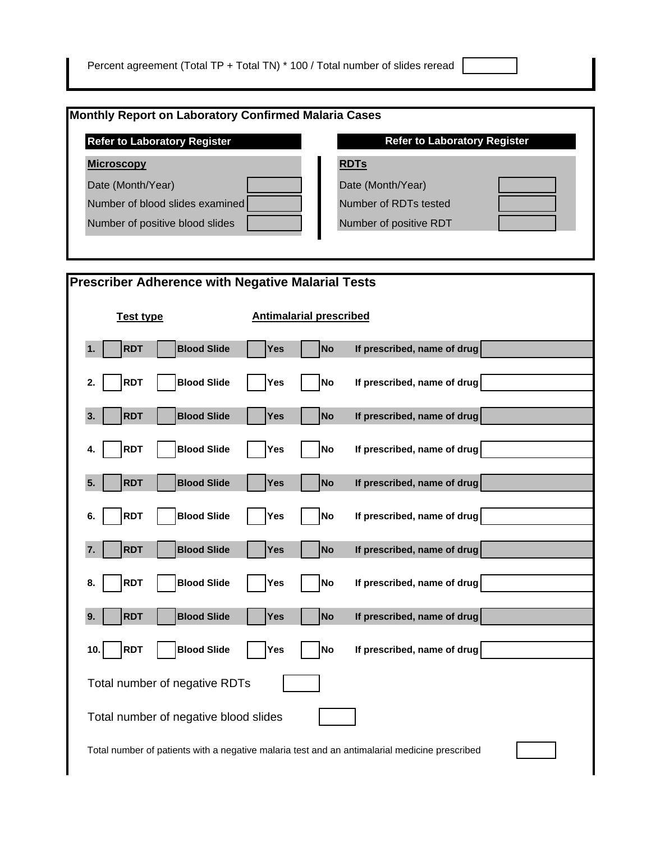| <b>Refer to Laboratory Register</b> | <b>Refer to Laboratory Register</b> |
|-------------------------------------|-------------------------------------|
| <b>Microscopy</b>                   | <b>RDTs</b>                         |
| Date (Month/Year)                   | Date (Month/Year)                   |
| Number of blood slides examined     | Number of RDTs tested               |
| Number of positive blood slides     | Number of positive RDT              |

| <b>Prescriber Adherence with Negative Malarial Tests</b>                                      |                                |                             |  |  |  |
|-----------------------------------------------------------------------------------------------|--------------------------------|-----------------------------|--|--|--|
| <b>Test type</b>                                                                              | <b>Antimalarial prescribed</b> |                             |  |  |  |
| <b>Blood Slide</b><br><b>RDT</b><br>1.                                                        | Yes<br><b>No</b>               | If prescribed, name of drug |  |  |  |
| <b>RDT</b><br><b>Blood Slide</b><br>2.                                                        | <b>No</b><br>Yes               | If prescribed, name of drug |  |  |  |
| <b>RDT</b><br><b>Blood Slide</b><br>3.                                                        | <b>No</b><br>Yes               | If prescribed, name of drug |  |  |  |
| <b>RDT</b><br><b>Blood Slide</b><br>4.                                                        | <b>No</b><br>Yes               | If prescribed, name of drug |  |  |  |
| 5.<br><b>RDT</b><br><b>Blood Slide</b>                                                        | <b>No</b><br><b>Yes</b>        | If prescribed, name of drug |  |  |  |
| <b>Blood Slide</b><br><b>RDT</b><br>6.                                                        | <b>No</b><br>Yes               | If prescribed, name of drug |  |  |  |
| 7.<br><b>RDT</b><br><b>Blood Slide</b>                                                        | <b>No</b><br><b>Yes</b>        | If prescribed, name of drug |  |  |  |
| <b>Blood Slide</b><br><b>RDT</b><br>8.                                                        | <b>No</b><br>Yes               | If prescribed, name of drug |  |  |  |
| <b>Blood Slide</b><br>9.<br><b>RDT</b>                                                        | <b>Yes</b><br><b>No</b>        | If prescribed, name of drug |  |  |  |
| <b>RDT</b><br><b>Blood Slide</b><br>10.                                                       | <b>No</b><br>Yes               | If prescribed, name of drug |  |  |  |
| Total number of negative RDTs                                                                 |                                |                             |  |  |  |
| Total number of negative blood slides                                                         |                                |                             |  |  |  |
| Total number of patients with a negative malaria test and an antimalarial medicine prescribed |                                |                             |  |  |  |